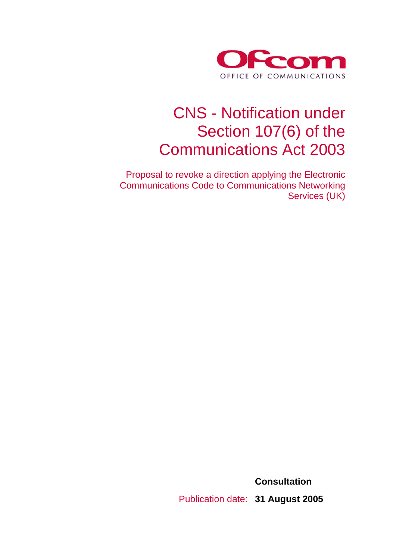

# CNS - Notification under Section 107(6) of the Communications Act 2003

 Proposal to revoke a direction applying the Electronic Communications Code to Communications Networking Services (UK)

> **Consultation**  Publication date: **31 August 2005**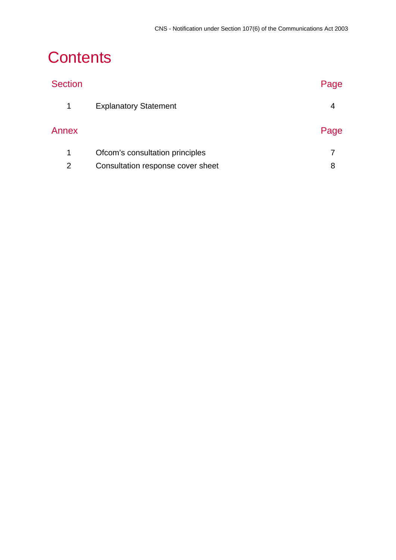# **Contents**

| <b>Section</b> |                                   | Page |
|----------------|-----------------------------------|------|
| $\mathbf 1$    | <b>Explanatory Statement</b>      | 4    |
| Annex          |                                   | Page |
| 1              | Ofcom's consultation principles   |      |
| 2              | Consultation response cover sheet | 8    |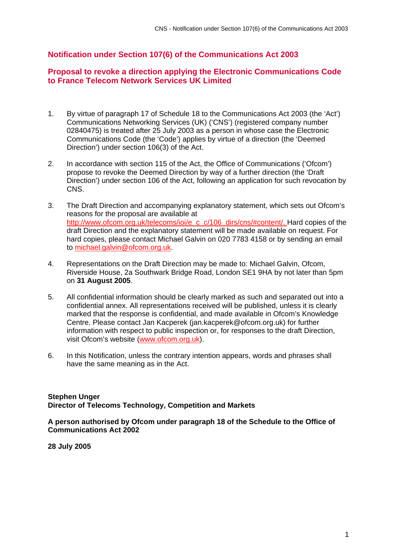#### **Notification under Section 107(6) of the Communications Act 2003**

#### **Proposal to revoke a direction applying the Electronic Communications Code to France Telecom Network Services UK Limited**

- 1. By virtue of paragraph 17 of Schedule 18 to the Communications Act 2003 (the 'Act') Communications Networking Services (UK) ('CNS') (registered company number 02840475) is treated after 25 July 2003 as a person in whose case the Electronic Communications Code (the 'Code') applies by virtue of a direction (the 'Deemed Direction') under section 106(3) of the Act.
- 2. In accordance with section 115 of the Act, the Office of Communications ('Ofcom') propose to revoke the Deemed Direction by way of a further direction (the 'Draft Direction') under section 106 of the Act, following an application for such revocation by CNS.
- 3. The Draft Direction and accompanying explanatory statement, which sets out Ofcom's reasons for the proposal are available at http://www.ofcom.org.uk/telecoms/ioi/e\_c\_c/106\_dirs/cns/#content/. Hard copies of the draft Direction and the explanatory statement will be made available on request. For hard copies, please contact Michael Galvin on 020 7783 4158 or by sending an email to michael.galvin@ofcom.org.uk.
- 4. Representations on the Draft Direction may be made to: Michael Galvin, Ofcom, Riverside House, 2a Southwark Bridge Road, London SE1 9HA by not later than 5pm on **31 August 2005**.
- 5. All confidential information should be clearly marked as such and separated out into a confidential annex. All representations received will be published, unless it is clearly marked that the response is confidential, and made available in Ofcom's Knowledge Centre. Please contact Jan Kacperek (jan.kacperek@ofcom.org.uk) for further information with respect to public inspection or, for responses to the draft Direction, visit Ofcom's website (www.ofcom.org.uk).
- 6. In this Notification, unless the contrary intention appears, words and phrases shall have the same meaning as in the Act.

#### **Stephen Unger Director of Telecoms Technology, Competition and Markets**

**A person authorised by Ofcom under paragraph 18 of the Schedule to the Office of Communications Act 2002** 

**28 July 2005**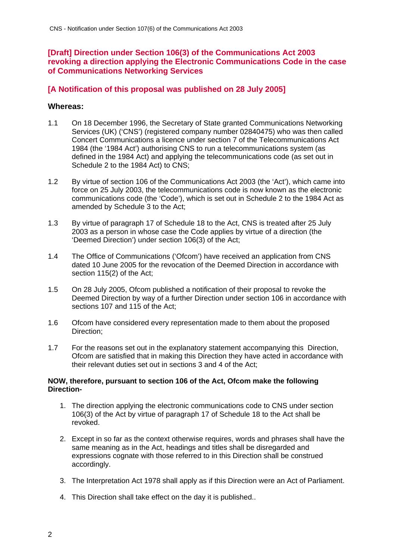### **[Draft] Direction under Section 106(3) of the Communications Act 2003 revoking a direction applying the Electronic Communications Code in the case of Communications Networking Services**

### **[A Notification of this proposal was published on 28 July 2005]**

#### **Whereas:**

- 1.1 On 18 December 1996, the Secretary of State granted Communications Networking Services (UK) ('CNS') (registered company number 02840475) who was then called Concert Communications a licence under section 7 of the Telecommunications Act 1984 (the '1984 Act') authorising CNS to run a telecommunications system (as defined in the 1984 Act) and applying the telecommunications code (as set out in Schedule 2 to the 1984 Act) to CNS;
- 1.2 By virtue of section 106 of the Communications Act 2003 (the 'Act'), which came into force on 25 July 2003, the telecommunications code is now known as the electronic communications code (the 'Code'), which is set out in Schedule 2 to the 1984 Act as amended by Schedule 3 to the Act;
- 1.3 By virtue of paragraph 17 of Schedule 18 to the Act, CNS is treated after 25 July 2003 as a person in whose case the Code applies by virtue of a direction (the 'Deemed Direction') under section 106(3) of the Act;
- 1.4 The Office of Communications ('Ofcom') have received an application from CNS dated 10 June 2005 for the revocation of the Deemed Direction in accordance with section 115(2) of the Act;
- 1.5 On 28 July 2005, Ofcom published a notification of their proposal to revoke the Deemed Direction by way of a further Direction under section 106 in accordance with sections 107 and 115 of the Act;
- 1.6 Ofcom have considered every representation made to them about the proposed Direction;
- 1.7 For the reasons set out in the explanatory statement accompanying this Direction, Ofcom are satisfied that in making this Direction they have acted in accordance with their relevant duties set out in sections 3 and 4 of the Act;

#### **NOW, therefore, pursuant to section 106 of the Act, Ofcom make the following Direction-**

- 1. The direction applying the electronic communications code to CNS under section 106(3) of the Act by virtue of paragraph 17 of Schedule 18 to the Act shall be revoked.
- 2. Except in so far as the context otherwise requires, words and phrases shall have the same meaning as in the Act, headings and titles shall be disregarded and expressions cognate with those referred to in this Direction shall be construed accordingly.
- 3. The Interpretation Act 1978 shall apply as if this Direction were an Act of Parliament.
- 4. This Direction shall take effect on the day it is published..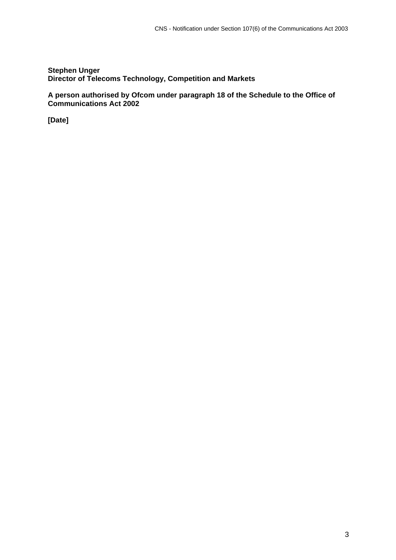#### **Stephen Unger Director of Telecoms Technology, Competition and Markets**

**A person authorised by Ofcom under paragraph 18 of the Schedule to the Office of Communications Act 2002** 

**[Date]**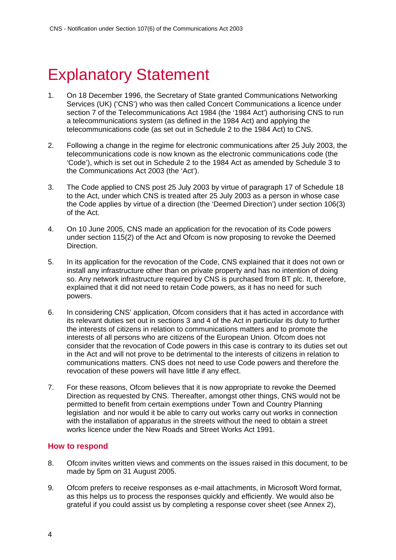## **Explanatory Statement**

- 1. On 18 December 1996, the Secretary of State granted Communications Networking Services (UK) ('CNS') who was then called Concert Communications a licence under section 7 of the Telecommunications Act 1984 (the '1984 Act') authorising CNS to run a telecommunications system (as defined in the 1984 Act) and applying the telecommunications code (as set out in Schedule 2 to the 1984 Act) to CNS.
- 2. Following a change in the regime for electronic communications after 25 July 2003, the telecommunications code is now known as the electronic communications code (the 'Code'), which is set out in Schedule 2 to the 1984 Act as amended by Schedule 3 to the Communications Act 2003 (the 'Act').
- 3. The Code applied to CNS post 25 July 2003 by virtue of paragraph 17 of Schedule 18 to the Act, under which CNS is treated after 25 July 2003 as a person in whose case the Code applies by virtue of a direction (the 'Deemed Direction') under section 106(3) of the Act.
- 4. On 10 June 2005, CNS made an application for the revocation of its Code powers under section 115(2) of the Act and Ofcom is now proposing to revoke the Deemed Direction.
- 5. In its application for the revocation of the Code, CNS explained that it does not own or install any infrastructure other than on private property and has no intention of doing so. Any network infrastructure required by CNS is purchased from BT plc. It, therefore, explained that it did not need to retain Code powers, as it has no need for such powers.
- 6. In considering CNS' application, Ofcom considers that it has acted in accordance with its relevant duties set out in sections 3 and 4 of the Act in particular its duty to further the interests of citizens in relation to communications matters and to promote the interests of all persons who are citizens of the European Union. Ofcom does not consider that the revocation of Code powers in this case is contrary to its duties set out in the Act and will not prove to be detrimental to the interests of citizens in relation to communications matters. CNS does not need to use Code powers and therefore the revocation of these powers will have little if any effect.
- 7. For these reasons, Ofcom believes that it is now appropriate to revoke the Deemed Direction as requested by CNS. Thereafter, amongst other things, CNS would not be permitted to benefit from certain exemptions under Town and Country Planning legislation and nor would it be able to carry out works carry out works in connection with the installation of apparatus in the streets without the need to obtain a street works licence under the New Roads and Street Works Act 1991.

#### **How to respond**

- 8. Ofcom invites written views and comments on the issues raised in this document, to be made by 5pm on 31 August 2005.
- 9. Ofcom prefers to receive responses as e-mail attachments, in Microsoft Word format, as this helps us to process the responses quickly and efficiently. We would also be grateful if you could assist us by completing a response cover sheet (see Annex 2),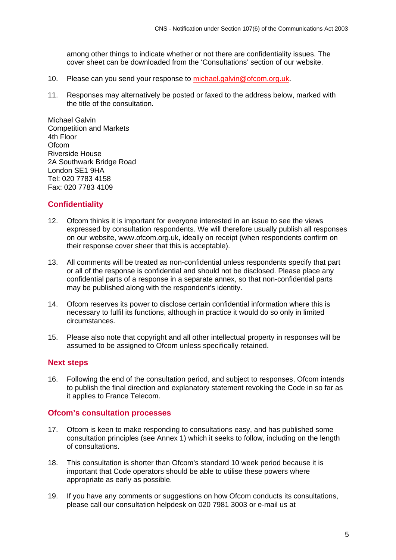among other things to indicate whether or not there are confidentiality issues. The cover sheet can be downloaded from the 'Consultations' section of our website.

- 10. Please can you send your response to michael.galvin@ofcom.org.uk.
- 11. Responses may alternatively be posted or faxed to the address below, marked with the title of the consultation.

Michael Galvin Competition and Markets 4th Floor **Ofcom** Riverside House 2A Southwark Bridge Road London SE1 9HA Tel: 020 7783 4158 Fax: 020 7783 4109

#### **Confidentiality**

- 12. Ofcom thinks it is important for everyone interested in an issue to see the views expressed by consultation respondents. We will therefore usually publish all responses on our website, www.ofcom.org.uk, ideally on receipt (when respondents confirm on their response cover sheer that this is acceptable).
- 13. All comments will be treated as non-confidential unless respondents specify that part or all of the response is confidential and should not be disclosed. Please place any confidential parts of a response in a separate annex, so that non-confidential parts may be published along with the respondent's identity.
- 14. Ofcom reserves its power to disclose certain confidential information where this is necessary to fulfil its functions, although in practice it would do so only in limited circumstances.
- 15. Please also note that copyright and all other intellectual property in responses will be assumed to be assigned to Ofcom unless specifically retained.

#### **Next steps**

16. Following the end of the consultation period, and subject to responses, Ofcom intends to publish the final direction and explanatory statement revoking the Code in so far as it applies to France Telecom.

#### **Ofcom's consultation processes**

- 17. Ofcom is keen to make responding to consultations easy, and has published some consultation principles (see Annex 1) which it seeks to follow, including on the length of consultations.
- 18. This consultation is shorter than Ofcom's standard 10 week period because it is important that Code operators should be able to utilise these powers where appropriate as early as possible.
- 19. If you have any comments or suggestions on how Ofcom conducts its consultations, please call our consultation helpdesk on 020 7981 3003 or e-mail us at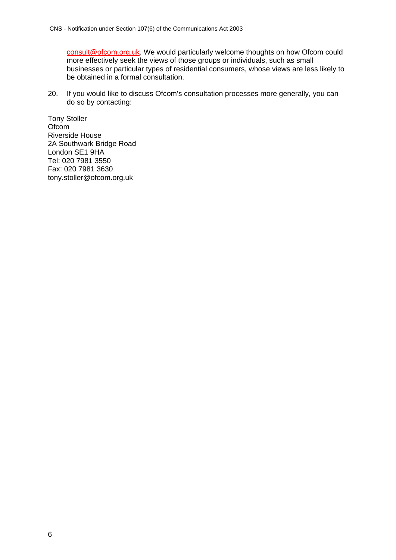consult@ofcom.org.uk. We would particularly welcome thoughts on how Ofcom could more effectively seek the views of those groups or individuals, such as small businesses or particular types of residential consumers, whose views are less likely to be obtained in a formal consultation.

20. If you would like to discuss Ofcom's consultation processes more generally, you can do so by contacting:

Tony Stoller **Ofcom** Riverside House 2A Southwark Bridge Road London SE1 9HA Tel: 020 7981 3550 Fax: 020 7981 3630 tony.stoller@ofcom.org.uk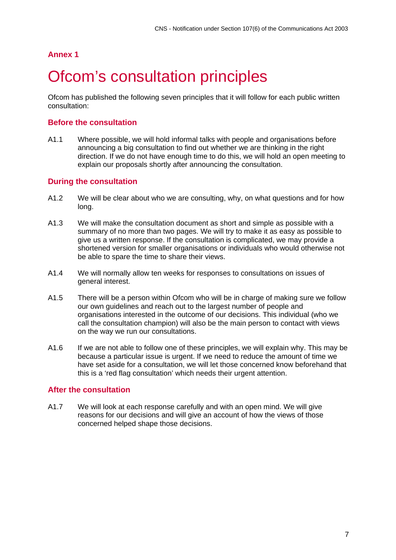### **Annex 1**

## Ofcom's consultation principles

Ofcom has published the following seven principles that it will follow for each public written consultation:

#### **Before the consultation**

A1.1 Where possible, we will hold informal talks with people and organisations before announcing a big consultation to find out whether we are thinking in the right direction. If we do not have enough time to do this, we will hold an open meeting to explain our proposals shortly after announcing the consultation.

#### **During the consultation**

- A1.2 We will be clear about who we are consulting, why, on what questions and for how long.
- A1.3 We will make the consultation document as short and simple as possible with a summary of no more than two pages. We will try to make it as easy as possible to give us a written response. If the consultation is complicated, we may provide a shortened version for smaller organisations or individuals who would otherwise not be able to spare the time to share their views.
- A1.4 We will normally allow ten weeks for responses to consultations on issues of general interest.
- A1.5 There will be a person within Ofcom who will be in charge of making sure we follow our own guidelines and reach out to the largest number of people and organisations interested in the outcome of our decisions. This individual (who we call the consultation champion) will also be the main person to contact with views on the way we run our consultations.
- A1.6 If we are not able to follow one of these principles, we will explain why. This may be because a particular issue is urgent. If we need to reduce the amount of time we have set aside for a consultation, we will let those concerned know beforehand that this is a 'red flag consultation' which needs their urgent attention.

#### **After the consultation**

A1.7 We will look at each response carefully and with an open mind. We will give reasons for our decisions and will give an account of how the views of those concerned helped shape those decisions.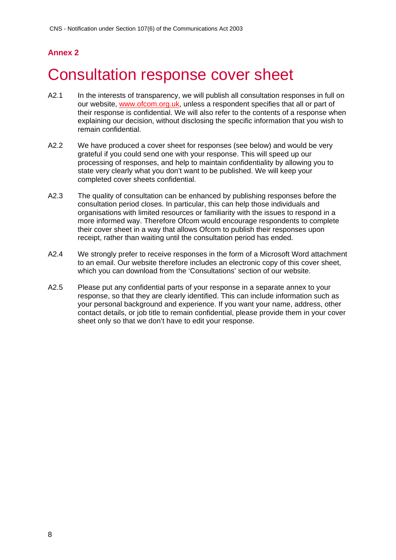### **Annex 2**

# 2 Consultation response cover sheet

- A2.1 In the interests of transparency, we will publish all consultation responses in full on our website, www.ofcom.org.uk, unless a respondent specifies that all or part of their response is confidential. We will also refer to the contents of a response when explaining our decision, without disclosing the specific information that you wish to remain confidential.
- A2.2 We have produced a cover sheet for responses (see below) and would be very grateful if you could send one with your response. This will speed up our processing of responses, and help to maintain confidentiality by allowing you to state very clearly what you don't want to be published. We will keep your completed cover sheets confidential.
- A2.3 The quality of consultation can be enhanced by publishing responses before the consultation period closes. In particular, this can help those individuals and organisations with limited resources or familiarity with the issues to respond in a more informed way. Therefore Ofcom would encourage respondents to complete their cover sheet in a way that allows Ofcom to publish their responses upon receipt, rather than waiting until the consultation period has ended.
- A2.4 We strongly prefer to receive responses in the form of a Microsoft Word attachment to an email. Our website therefore includes an electronic copy of this cover sheet, which you can download from the 'Consultations' section of our website.
- A2.5 Please put any confidential parts of your response in a separate annex to your response, so that they are clearly identified. This can include information such as your personal background and experience. If you want your name, address, other contact details, or job title to remain confidential, please provide them in your cover sheet only so that we don't have to edit your response.